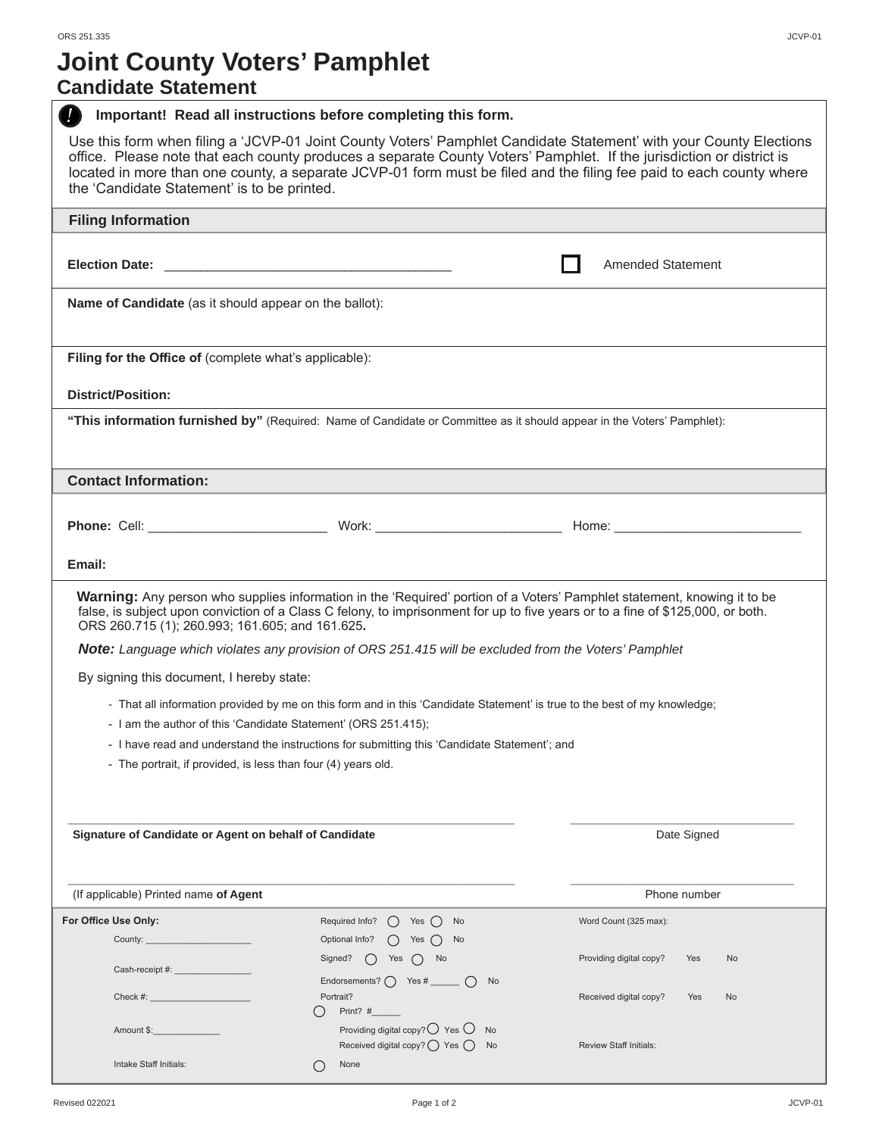# **Joint County Voters' Pamphlet**

### **Candidate Statement**

| Important! Read all instructions before completing this form.                                                                                                                                                                                                                                                                                                                                                    |                                                                                                                           |                                      |  |  |
|------------------------------------------------------------------------------------------------------------------------------------------------------------------------------------------------------------------------------------------------------------------------------------------------------------------------------------------------------------------------------------------------------------------|---------------------------------------------------------------------------------------------------------------------------|--------------------------------------|--|--|
| Use this form when filing a 'JCVP-01 Joint County Voters' Pamphlet Candidate Statement' with your County Elections<br>office. Please note that each county produces a separate County Voters' Pamphlet. If the jurisdiction or district is<br>located in more than one county, a separate JCVP-01 form must be filed and the filing fee paid to each county where<br>the 'Candidate Statement' is to be printed. |                                                                                                                           |                                      |  |  |
| <b>Filing Information</b>                                                                                                                                                                                                                                                                                                                                                                                        |                                                                                                                           |                                      |  |  |
|                                                                                                                                                                                                                                                                                                                                                                                                                  |                                                                                                                           |                                      |  |  |
|                                                                                                                                                                                                                                                                                                                                                                                                                  |                                                                                                                           | <b>Amended Statement</b>             |  |  |
| <b>Name of Candidate</b> (as it should appear on the ballot):                                                                                                                                                                                                                                                                                                                                                    |                                                                                                                           |                                      |  |  |
| Filing for the Office of (complete what's applicable):                                                                                                                                                                                                                                                                                                                                                           |                                                                                                                           |                                      |  |  |
| <b>District/Position:</b>                                                                                                                                                                                                                                                                                                                                                                                        |                                                                                                                           |                                      |  |  |
| "This information furnished by" (Required: Name of Candidate or Committee as it should appear in the Voters' Pamphlet):                                                                                                                                                                                                                                                                                          |                                                                                                                           |                                      |  |  |
| <b>Contact Information:</b>                                                                                                                                                                                                                                                                                                                                                                                      |                                                                                                                           |                                      |  |  |
|                                                                                                                                                                                                                                                                                                                                                                                                                  |                                                                                                                           |                                      |  |  |
|                                                                                                                                                                                                                                                                                                                                                                                                                  |                                                                                                                           |                                      |  |  |
| Email:                                                                                                                                                                                                                                                                                                                                                                                                           |                                                                                                                           |                                      |  |  |
| Warning: Any person who supplies information in the 'Required' portion of a Voters' Pamphlet statement, knowing it to be<br>false, is subject upon conviction of a Class C felony, to imprisonment for up to five years or to a fine of \$125,000, or both.<br>ORS 260.715 (1); 260.993; 161.605; and 161.625.                                                                                                   |                                                                                                                           |                                      |  |  |
|                                                                                                                                                                                                                                                                                                                                                                                                                  | Note: Language which violates any provision of ORS 251.415 will be excluded from the Voters' Pamphlet                     |                                      |  |  |
| By signing this document, I hereby state:                                                                                                                                                                                                                                                                                                                                                                        |                                                                                                                           |                                      |  |  |
|                                                                                                                                                                                                                                                                                                                                                                                                                  | - That all information provided by me on this form and in this 'Candidate Statement' is true to the best of my knowledge; |                                      |  |  |
| - I am the author of this 'Candidate Statement' (ORS 251.415);                                                                                                                                                                                                                                                                                                                                                   |                                                                                                                           |                                      |  |  |
|                                                                                                                                                                                                                                                                                                                                                                                                                  | - I have read and understand the instructions for submitting this 'Candidate Statement'; and                              |                                      |  |  |
| - The portrait, if provided, is less than four (4) years old.                                                                                                                                                                                                                                                                                                                                                    |                                                                                                                           |                                      |  |  |
|                                                                                                                                                                                                                                                                                                                                                                                                                  |                                                                                                                           |                                      |  |  |
| Signature of Candidate or Agent on behalf of Candidate                                                                                                                                                                                                                                                                                                                                                           |                                                                                                                           | Date Signed                          |  |  |
| (If applicable) Printed name of Agent                                                                                                                                                                                                                                                                                                                                                                            |                                                                                                                           | Phone number                         |  |  |
| For Office Use Only:                                                                                                                                                                                                                                                                                                                                                                                             | Required Info? $\bigcap$ Yes $\bigcap$ No                                                                                 | Word Count (325 max):                |  |  |
| County: _______________________                                                                                                                                                                                                                                                                                                                                                                                  | Optional Info?<br>$()$ Yes $()$ No                                                                                        |                                      |  |  |
|                                                                                                                                                                                                                                                                                                                                                                                                                  | Signed? $\bigcap$ Yes $\bigcap$ No                                                                                        | Providing digital copy?<br>Yes<br>No |  |  |
|                                                                                                                                                                                                                                                                                                                                                                                                                  | Endorsements? $\bigcap$ Yes #<br>( )<br><b>No</b>                                                                         |                                      |  |  |
| Check #:                                                                                                                                                                                                                                                                                                                                                                                                         | Portrait?<br>Print? #<br>()                                                                                               | Received digital copy?<br>Yes<br>No  |  |  |
| Amount \$:                                                                                                                                                                                                                                                                                                                                                                                                       | Providing digital copy? $\bigcirc$ Yes $\bigcirc$ No<br>Received digital copy? ◯ Yes ◯ No                                 | <b>Review Staff Initials:</b>        |  |  |
| Intake Staff Initials:                                                                                                                                                                                                                                                                                                                                                                                           | None                                                                                                                      |                                      |  |  |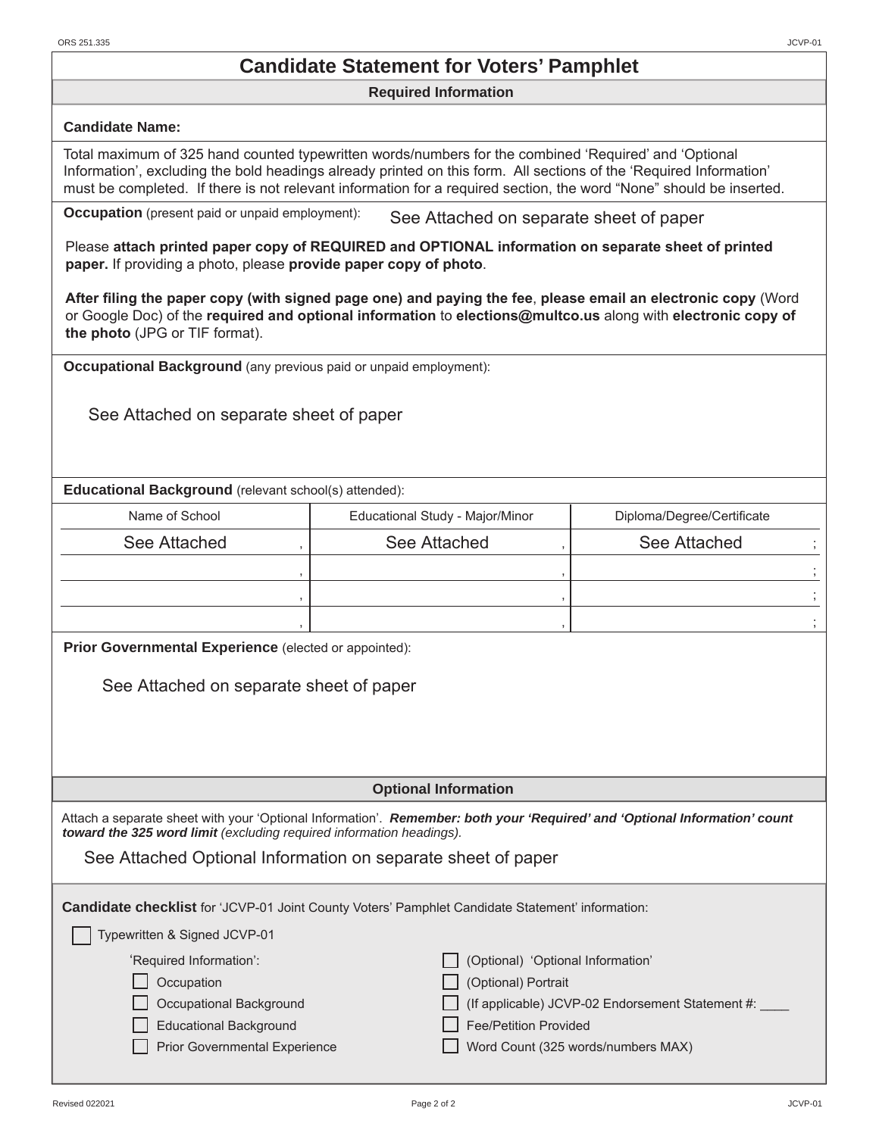### **Candidate Statement for Voters' Pamphlet**

#### **Required Information**

#### **Candidate Name:**

 Total maximum of 325 hand counted typewritten words/numbers for the combined 'Required' and 'Optional Information', excluding the bold headings already printed on this form. All sections of the 'Required Information' must be completed. If there is not relevant information for a required section, the word "None" should be inserted.

**Occupation** (present paid or unpaid employment): See Attached on separate sheet of paper

Please **attach printed paper copy of REQUIRED and OPTIONAL information on separate sheet of printed paper.** If providing a photo, please **provide paper copy of photo**.

**After filing the paper copy (with signed page one) and paying the fee**, **please email an electronic copy** (Word or Google Doc) of the **required and optional information** to **elections@multco.us** along with **electronic copy of the photo** (JPG or TIF format).

**Occupational Background** (any previous paid or unpaid employment):

See Attached on separate sheet of paper

 **Educational Background** (relevant school(s) attended):

| Name of School | Educational Study - Major/Minor | Diploma/Degree/Certificate |
|----------------|---------------------------------|----------------------------|
| See Attached   | See Attached                    | See Attached               |
|                |                                 |                            |
|                |                                 |                            |
|                |                                 |                            |

**Prior Governmental Experience** (elected or appointed):

See Attached on separate sheet of paper

 **Optional Information**

 Attach a separate sheet with your 'Optional Information'. *Remember: both your 'Required' and 'Optional Information' count toward the 325 word limit (excluding required information headings).*

See Attached Optional Information on separate sheet of paper

 **Candidate checklist** for 'JCVP-01 Joint County Voters' Pamphlet Candidate Statement' information:

| (Optional) 'Optional Information'                       |
|---------------------------------------------------------|
| (Optional) Portrait                                     |
| $\Box$ (If applicable) JCVP-02 Endorsement Statement #: |
|                                                         |

Educational Background Fee/Petition Provided

Prior Governmental Experience Word Count (325 words/numbers MAX)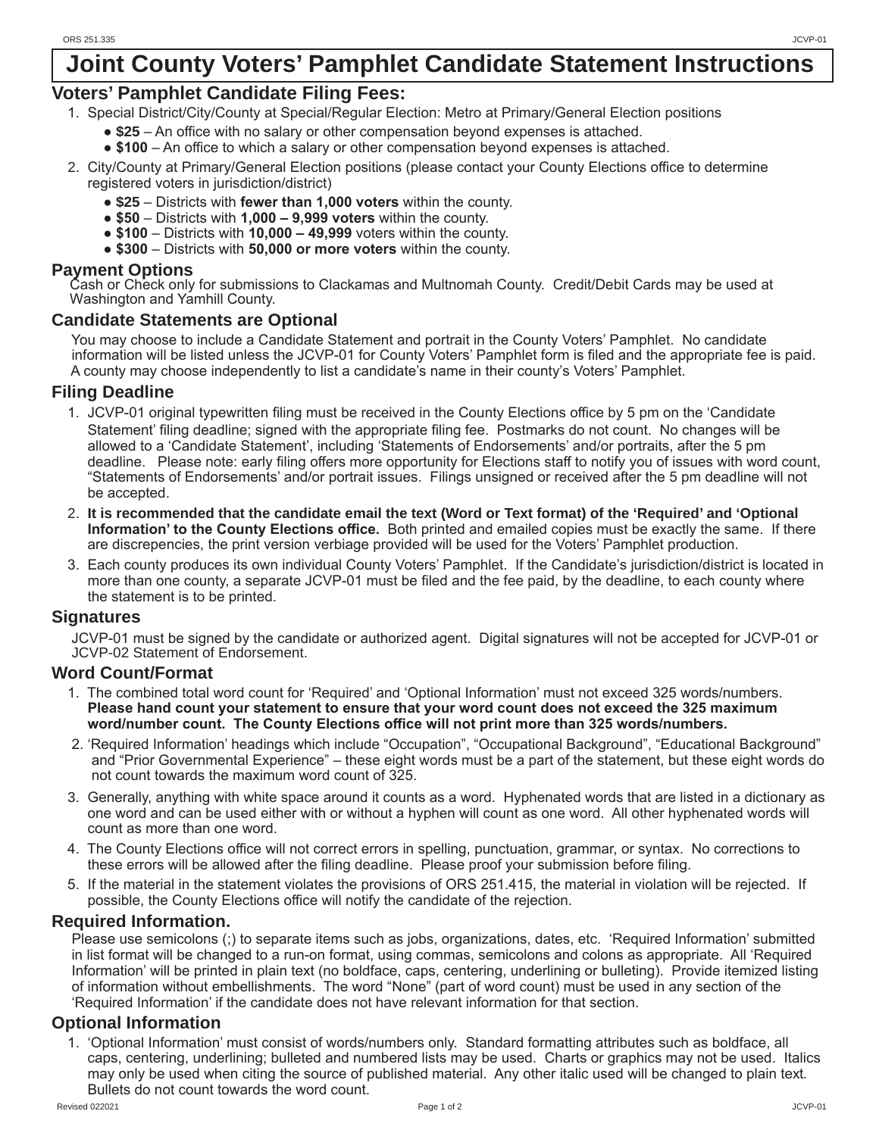## **Joint County Voters' Pamphlet Candidate Statement Instructions**

### **Voters' Pamphlet Candidate Filing Fees:**

- 1. Special District/City/County at Special/Regular Election: Metro at Primary/General Election positions
	- **● \$25** An office with no salary or other compensation beyond expenses is attached.
	- **\$100** An office to which a salary or other compensation beyond expenses is attached.
- 2. City/County at Primary/General Election positions (please contact your County Elections office to determine registered voters in jurisdiction/district)
	- **● \$25** Districts with **fewer than 1,000 voters** within the county.
	- **\$50** Districts with **1,000 9,999 voters** within the county.
	- **\$100**  Districts with **10,000 49,999** voters within the county.
	- **\$300** Districts with **50,000 or more voters** within the county.

**Payment Options** Cash or Check only for submissions to Clackamas and Multnomah County. Credit/Debit Cards may be used at Washington and Yamhill County.

### **Candidate Statements are Optional**

 You may choose to include a Candidate Statement and portrait in the County Voters' Pamphlet. No candidate information will be listed unless the JCVP-01 for County Voters' Pamphlet form is filed and the appropriate fee is paid. A county may choose independently to list a candidate's name in their county's Voters' Pamphlet.

#### **Filing Deadline**

- 1. JCVP-01 original typewritten filing must be received in the County Elections office by 5 pm on the 'Candidate Statement' filing deadline; signed with the appropriate filing fee. Postmarks do not count. No changes will be allowed to a 'Candidate Statement', including 'Statements of Endorsements' and/or portraits, after the 5 pm deadline. Please note: early filing offers more opportunity for Elections staff to notify you of issues with word count, "Statements of Endorsements' and/or portrait issues. Filings unsigned or received after the 5 pm deadline will not be accepted.
- 2. **It is recommended that the candidate email the text (Word or Text format) of the 'Required' and 'Optional Information' to the County Elections office.** Both printed and emailed copies must be exactly the same. If there are discrepencies, the print version verbiage provided will be used for the Voters' Pamphlet production.
- 3. Each county produces its own individual County Voters' Pamphlet. If the Candidate's jurisdiction/district is located in more than one county, a separate JCVP-01 must be filed and the fee paid, by the deadline, to each county where the statement is to be printed.

#### **Signatures**

 JCVP-01 must be signed by the candidate or authorized agent. Digital signatures will not be accepted for JCVP-01 or JCVP-02 Statement of Endorsement.

### **Word Count/Format**

- 1. The combined total word count for 'Required' and 'Optional Information' must not exceed 325 words/numbers. **Please hand count your statement to ensure that your word count does not exceed the 325 maximum word/number count. The County Elections office will not print more than 325 words/numbers.**
- 2. 'Required Information' headings which include "Occupation", "Occupational Background", "Educational Background" and "Prior Governmental Experience" – these eight words must be a part of the statement, but these eight words do not count towards the maximum word count of 325.
- 3. Generally, anything with white space around it counts as a word. Hyphenated words that are listed in a dictionary as one word and can be used either with or without a hyphen will count as one word. All other hyphenated words will count as more than one word.
- 4. The County Elections office will not correct errors in spelling, punctuation, grammar, or syntax. No corrections to these errors will be allowed after the filing deadline. Please proof your submission before filing.
- 5. If the material in the statement violates the provisions of ORS 251.415, the material in violation will be rejected. If possible, the County Elections office will notify the candidate of the rejection.

### **Required Information.**

 Please use semicolons (;) to separate items such as jobs, organizations, dates, etc. 'Required Information' submitted in list format will be changed to a run-on format, using commas, semicolons and colons as appropriate. All 'Required Information' will be printed in plain text (no boldface, caps, centering, underlining or bulleting). Provide itemized listing of information without embellishments. The word "None" (part of word count) must be used in any section of the 'Required Information' if the candidate does not have relevant information for that section.

### **Optional Information**

1. 'Optional Information' must consist of words/numbers only. Standard formatting attributes such as boldface, all caps, centering, underlining; bulleted and numbered lists may be used. Charts or graphics may not be used. Italics may only be used when citing the source of published material. Any other italic used will be changed to plain text. Bullets do not count towards the word count.